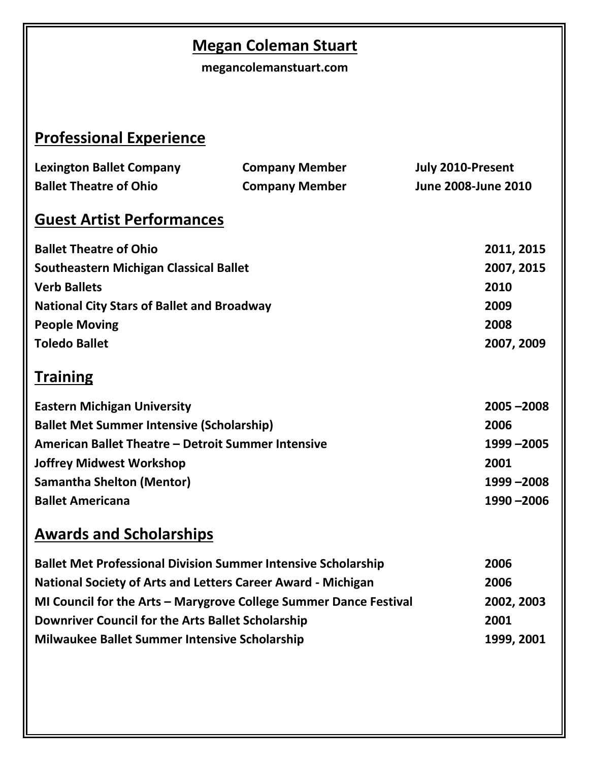## **Megan Coleman Stuart**

**megancolemanstuart.com**

# **Professional Experience**

| <b>Lexington Ballet Company</b>                    | <b>Company Member</b> |  | July 2010-Present   |  |
|----------------------------------------------------|-----------------------|--|---------------------|--|
| <b>Ballet Theatre of Ohio</b>                      | <b>Company Member</b> |  | June 2008-June 2010 |  |
| <b>Guest Artist Performances</b>                   |                       |  |                     |  |
| <b>Ballet Theatre of Ohio</b>                      |                       |  | 2011, 2015          |  |
| <b>Southeastern Michigan Classical Ballet</b>      |                       |  | 2007, 2015          |  |
| <b>Verb Ballets</b>                                |                       |  | 2010                |  |
| <b>National City Stars of Ballet and Broadway</b>  |                       |  | 2009                |  |
| <b>People Moving</b>                               |                       |  | 2008                |  |
| <b>Toledo Ballet</b>                               |                       |  | 2007, 2009          |  |
| <b>Training</b>                                    |                       |  |                     |  |
| <b>Eastern Michigan University</b>                 |                       |  | $2005 - 2008$       |  |
| <b>Ballet Met Summer Intensive (Scholarship)</b>   |                       |  | 2006                |  |
| American Ballet Theatre - Detroit Summer Intensive |                       |  | 1999 - 2005         |  |
| <b>Joffrey Midwest Workshop</b>                    |                       |  | 2001                |  |
| <b>Samantha Shelton (Mentor)</b>                   |                       |  | 1999 - 2008         |  |
| <b>Ballet Americana</b>                            |                       |  | 1990 - 2006         |  |
| <b>Awards and Scholarships</b>                     |                       |  |                     |  |

| <b>Ballet Met Professional Division Summer Intensive Scholarship</b> | 2006       |
|----------------------------------------------------------------------|------------|
| <b>National Society of Arts and Letters Career Award - Michigan</b>  | 2006       |
| MI Council for the Arts - Marygrove College Summer Dance Festival    | 2002, 2003 |
| Downriver Council for the Arts Ballet Scholarship                    | 2001       |
| <b>Milwaukee Ballet Summer Intensive Scholarship</b>                 | 1999, 2001 |